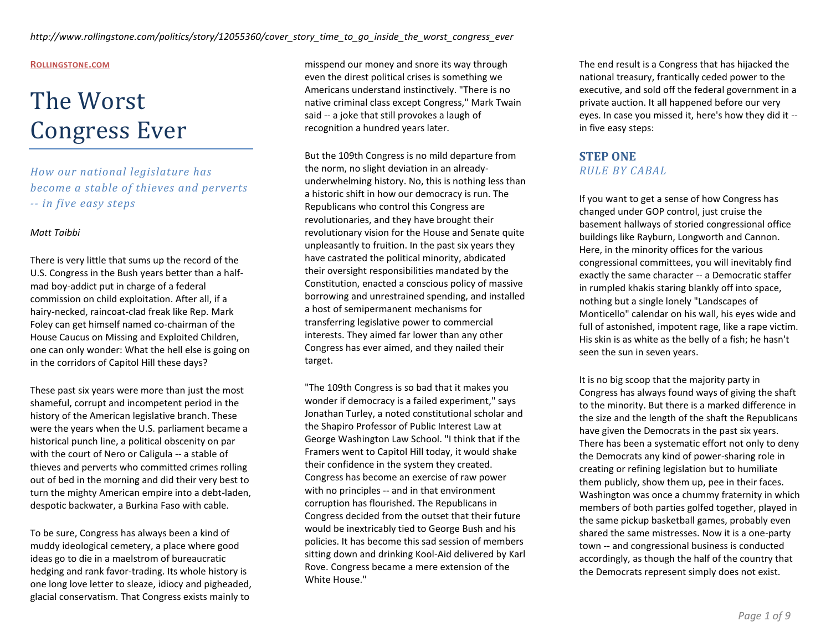*http://www.rollingstone.com/politics/story/12055360/cover\_story\_time\_to\_go\_inside\_the\_worst\_congress\_ever*

#### **ROLLINGSTONE.COM**

# The Worst Congress Ever

*How our national legislature has become a stable of thieves and perverts -- in five easy steps* 

#### *Matt Taibbi*

There is very little that sums up the record of the U.S. Congress in the Bush years better than a halfmad boy-addict put in charge of a federal commission on child exploitation. After all, if a hairy-necked, raincoat-clad freak like Rep. Mark Foley can get himself named co-chairman of the House Caucus on Missing and Exploited Children, one can only wonder: What the hell else is going on in the corridors of Capitol Hill these days?

These past six years were more than just the most shameful, corrupt and incompetent period in the history of the American legislative branch. These were the years when the U.S. parliament became a historical punch line, a political obscenity on par with the court of Nero or Caligula -- a stable of thieves and perverts who committed crimes rolling out of bed in the morning and did their very best to turn the mighty American empire into a debt-laden, despotic backwater, a Burkina Faso with cable.

To be sure, Congress has always been a kind of muddy ideological cemetery, a place where good ideas go to die in a maelstrom of bureaucratic hedging and rank favor-trading. Its whole history is one long love letter to sleaze, idiocy and pigheaded, glacial conservatism. That Congress exists mainly to

misspend our money and snore its way through even the direst political crises is something we Americans understand instinctively. "There is no native criminal class except Congress," Mark Twain said -- a joke that still provokes a laugh of recognition a hundred years later.

But the 109th Congress is no mild departure from the norm, no slight deviation in an alreadyunderwhelming history. No, this is nothing less than a historic shift in how our democracy is run. The Republicans who control this Congress are revolutionaries, and they have brought their revolutionary vision for the House and Senate quite unpleasantly to fruition. In the past six years they have castrated the political minority, abdicated their oversight responsibilities mandated by the Constitution, enacted a conscious policy of massive borrowing and unrestrained spending, and installed a host of semipermanent mechanisms for transferring legislative power to commercial interests. They aimed far lower than any other Congress has ever aimed, and they nailed their target.

"The 109th Congress is so bad that it makes you wonder if democracy is a failed experiment," says Jonathan Turley, a noted constitutional scholar and the Shapiro Professor of Public Interest Law at George Washington Law School. "I think that if the Framers went to Capitol Hill today, it would shake their confidence in the system they created. Congress has become an exercise of raw power with no principles -- and in that environment corruption has flourished. The Republicans in Congress decided from the outset that their future would be inextricably tied to George Bush and his policies. It has become this sad session of members sitting down and drinking Kool-Aid delivered by Karl Rove. Congress became a mere extension of the White House."

The end result is a Congress that has hijacked the national treasury, frantically ceded power to the executive, and sold off the federal government in a private auction. It all happened before our very eyes. In case you missed it, here's how they did it - in five easy steps:

## **STEP ONE** *RULE BY CABAL*

If you want to get a sense of how Congress has changed under GOP control, just cruise the basement hallways of storied congressional office buildings like Rayburn, Longworth and Cannon. Here, in the minority offices for the various congressional committees, you will inevitably find exactly the same character -- a Democratic staffer in rumpled khakis staring blankly off into space, nothing but a single lonely "Landscapes of Monticello" calendar on his wall, his eyes wide and full of astonished, impotent rage, like a rape victim. His skin is as white as the belly of a fish; he hasn't seen the sun in seven years.

It is no big scoop that the majority party in Congress has always found ways of giving the shaft to the minority. But there is a marked difference in the size and the length of the shaft the Republicans have given the Democrats in the past six years. There has been a systematic effort not only to deny the Democrats any kind of power-sharing role in creating or refining legislation but to humiliate them publicly, show them up, pee in their faces. Washington was once a chummy fraternity in which members of both parties golfed together, played in the same pickup basketball games, probably even shared the same mistresses. Now it is a one-party town -- and congressional business is conducted accordingly, as though the half of the country that the Democrats represent simply does not exist.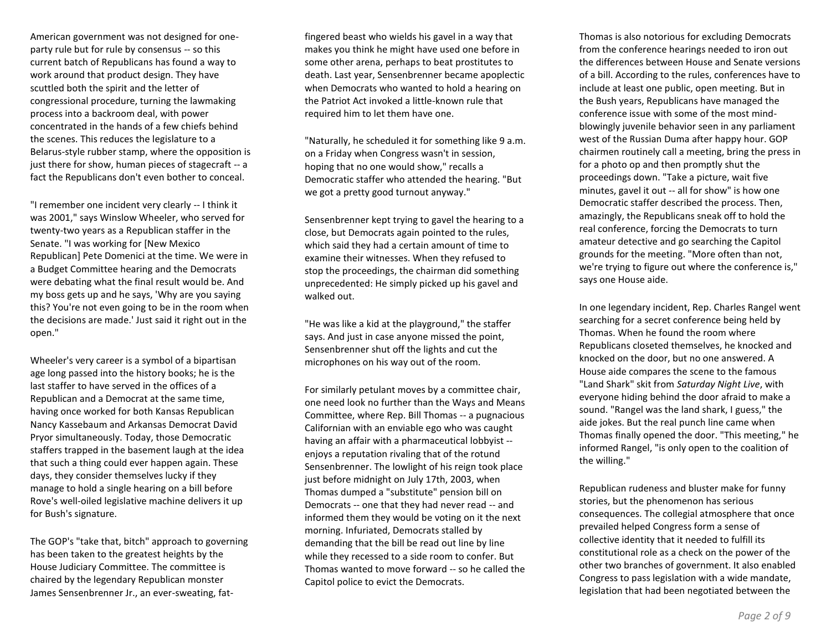American government was not designed for oneparty rule but for rule by consensus -- so this current batch of Republicans has found a way to work around that product design. They have scuttled both the spirit and the letter of congressional procedure, turning the lawmaking process into a backroom deal, with power concentrated in the hands of a few chiefs behind the scenes. This reduces the legislature to a Belarus-style rubber stamp, where the opposition is just there for show, human pieces of stagecraft -- a fact the Republicans don't even bother to conceal.

"I remember one incident very clearly -- I think it was 2001," says Winslow Wheeler, who served for twenty-two years as a Republican staffer in the Senate. "I was working for [New Mexico Republican] Pete Domenici at the time. We were in a Budget Committee hearing and the Democrats were debating what the final result would be. And my boss gets up and he says, 'Why are you saying this? You're not even going to be in the room when the decisions are made.' Just said it right out in the open."

Wheeler's very career is a symbol of a bipartisan age long passed into the history books; he is the last staffer to have served in the offices of a Republican and a Democrat at the same time, having once worked for both Kansas Republican Nancy Kassebaum and Arkansas Democrat David Pryor simultaneously. Today, those Democratic staffers trapped in the basement laugh at the idea that such a thing could ever happen again. These days, they consider themselves lucky if they manage to hold a single hearing on a bill before Rove's well-oiled legislative machine delivers it up for Bush's signature.

The GOP's "take that, bitch" approach to governing has been taken to the greatest heights by the House Judiciary Committee. The committee is chaired by the legendary Republican monster James Sensenbrenner Jr., an ever-sweating, fatfingered beast who wields his gavel in a way that makes you think he might have used one before in some other arena, perhaps to beat prostitutes to death. Last year, Sensenbrenner became apoplectic when Democrats who wanted to hold a hearing on the Patriot Act invoked a little-known rule that required him to let them have one.

"Naturally, he scheduled it for something like 9 a.m. on a Friday when Congress wasn't in session, hoping that no one would show," recalls a Democratic staffer who attended the hearing. "But we got a pretty good turnout anyway."

Sensenbrenner kept trying to gavel the hearing to a close, but Democrats again pointed to the rules, which said they had a certain amount of time to examine their witnesses. When they refused to stop the proceedings, the chairman did something unprecedented: He simply picked up his gavel and walked out.

"He was like a kid at the playground," the staffer says. And just in case anyone missed the point, Sensenbrenner shut off the lights and cut the microphones on his way out of the room.

For similarly petulant moves by a committee chair, one need look no further than the Ways and Means Committee, where Rep. Bill Thomas -- a pugnacious Californian with an enviable ego who was caught having an affair with a pharmaceutical lobbyist - enjoys a reputation rivaling that of the rotund Sensenbrenner. The lowlight of his reign took place just before midnight on July 17th, 2003, when Thomas dumped a "substitute" pension bill on Democrats -- one that they had never read -- and informed them they would be voting on it the next morning. Infuriated, Democrats stalled by demanding that the bill be read out line by line while they recessed to a side room to confer. But Thomas wanted to move forward -- so he called the Capitol police to evict the Democrats.

Thomas is also notorious for excluding Democrats from the conference hearings needed to iron out the differences between House and Senate versions of a bill. According to the rules, conferences have to include at least one public, open meeting. But in the Bush years, Republicans have managed the conference issue with some of the most mindblowingly juvenile behavior seen in any parliament west of the Russian Duma after happy hour. GOP chairmen routinely call a meeting, bring the press in for a photo op and then promptly shut the proceedings down. "Take a picture, wait five minutes, gavel it out -- all for show" is how one Democratic staffer described the process. Then, amazingly, the Republicans sneak off to hold the real conference, forcing the Democrats to turn amateur detective and go searching the Capitol grounds for the meeting. "More often than not, we're trying to figure out where the conference is," says one House aide.

In one legendary incident, Rep. Charles Rangel went searching for a secret conference being held by Thomas. When he found the room where Republicans closeted themselves, he knocked and knocked on the door, but no one answered. A House aide compares the scene to the famous "Land Shark" skit from *Saturday Night Live*, with everyone hiding behind the door afraid to make a sound. "Rangel was the land shark, I guess," the aide jokes. But the real punch line came when Thomas finally opened the door. "This meeting," he informed Rangel, "is only open to the coalition of the willing."

Republican rudeness and bluster make for funny stories, but the phenomenon has serious consequences. The collegial atmosphere that once prevailed helped Congress form a sense of collective identity that it needed to fulfill its constitutional role as a check on the power of the other two branches of government. It also enabled Congress to pass legislation with a wide mandate, legislation that had been negotiated between the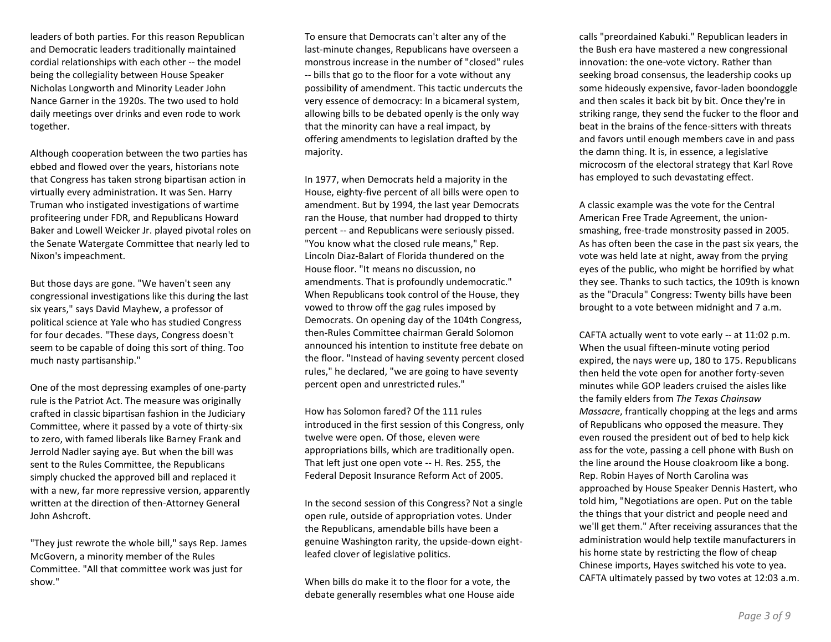leaders of both parties. For this reason Republican and Democratic leaders traditionally maintained cordial relationships with each other -- the model being the collegiality between House Speaker Nicholas Longworth and Minority Leader John Nance Garner in the 1920s. The two used to hold daily meetings over drinks and even rode to work together.

Although cooperation between the two parties has ebbed and flowed over the years, historians note that Congress has taken strong bipartisan action in virtually every administration. It was Sen. Harry Truman who instigated investigations of wartime profiteering under FDR, and Republicans Howard Baker and Lowell Weicker Jr. played pivotal roles on the Senate Watergate Committee that nearly led to Nixon's impeachment.

But those days are gone. "We haven't seen any congressional investigations like this during the last six years," says David Mayhew, a professor of political science at Yale who has studied Congress for four decades. "These days, Congress doesn't seem to be capable of doing this sort of thing. Too much nasty partisanship."

One of the most depressing examples of one-party rule is the Patriot Act. The measure was originally crafted in classic bipartisan fashion in the Judiciary Committee, where it passed by a vote of thirty-six to zero, with famed liberals like Barney Frank and Jerrold Nadler saying aye. But when the bill was sent to the Rules Committee, the Republicans simply chucked the approved bill and replaced it with a new, far more repressive version, apparently written at the direction of then-Attorney General John Ashcroft.

"They just rewrote the whole bill," says Rep. James McGovern, a minority member of the Rules Committee. "All that committee work was just for show."

To ensure that Democrats can't alter any of the last-minute changes, Republicans have overseen a monstrous increase in the number of "closed" rules -- bills that go to the floor for a vote without any possibility of amendment. This tactic undercuts the very essence of democracy: In a bicameral system, allowing bills to be debated openly is the only way that the minority can have a real impact, by offering amendments to legislation drafted by the majority.

In 1977, when Democrats held a majority in the House, eighty-five percent of all bills were open to amendment. But by 1994, the last year Democrats ran the House, that number had dropped to thirty percent -- and Republicans were seriously pissed. "You know what the closed rule means," Rep. Lincoln Diaz-Balart of Florida thundered on the House floor. "It means no discussion, no amendments. That is profoundly undemocratic." When Republicans took control of the House, they vowed to throw off the gag rules imposed by Democrats. On opening day of the 104th Congress, then-Rules Committee chairman Gerald Solomon announced his intention to institute free debate on the floor. "Instead of having seventy percent closed rules," he declared, "we are going to have seventy percent open and unrestricted rules."

How has Solomon fared? Of the 111 rules introduced in the first session of this Congress, only twelve were open. Of those, eleven were appropriations bills, which are traditionally open. That left just one open vote -- H. Res. 255, the Federal Deposit Insurance Reform Act of 2005.

In the second session of this Congress? Not a single open rule, outside of appropriation votes. Under the Republicans, amendable bills have been a genuine Washington rarity, the upside-down eightleafed clover of legislative politics.

When bills do make it to the floor for a vote, the debate generally resembles what one House aide calls "preordained Kabuki." Republican leaders in the Bush era have mastered a new congressional innovation: the one-vote victory. Rather than seeking broad consensus, the leadership cooks up some hideously expensive, favor-laden boondoggle and then scales it back bit by bit. Once they're in striking range, they send the fucker to the floor and beat in the brains of the fence-sitters with threats and favors until enough members cave in and pass the damn thing. It is, in essence, a legislative microcosm of the electoral strategy that Karl Rove has employed to such devastating effect.

A classic example was the vote for the Central American Free Trade Agreement, the unionsmashing, free-trade monstrosity passed in 2005. As has often been the case in the past six years, the vote was held late at night, away from the prying eyes of the public, who might be horrified by what they see. Thanks to such tactics, the 109th is known as the "Dracula" Congress: Twenty bills have been brought to a vote between midnight and 7 a.m.

CAFTA actually went to vote early -- at 11:02 p.m. When the usual fifteen-minute voting period expired, the nays were up, 180 to 175. Republicans then held the vote open for another forty-seven minutes while GOP leaders cruised the aisles like the family elders from *The Texas Chainsaw Massacre*, frantically chopping at the legs and arms of Republicans who opposed the measure. They even roused the president out of bed to help kick ass for the vote, passing a cell phone with Bush on the line around the House cloakroom like a bong. Rep. Robin Hayes of North Carolina was approached by House Speaker Dennis Hastert, who told him, "Negotiations are open. Put on the table the things that your district and people need and we'll get them." After receiving assurances that the administration would help textile manufacturers in his home state by restricting the flow of cheap Chinese imports, Hayes switched his vote to yea. CAFTA ultimately passed by two votes at 12:03 a.m.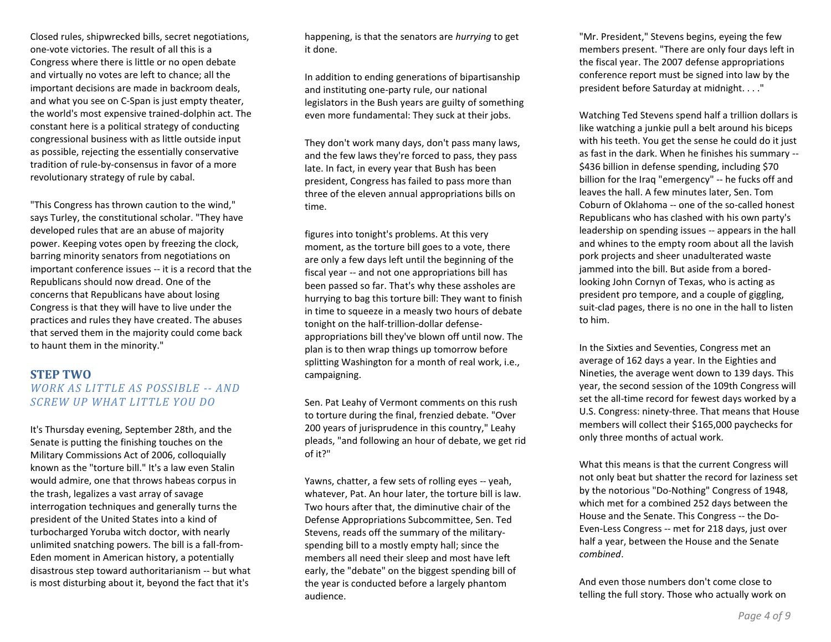Closed rules, shipwrecked bills, secret negotiations, one-vote victories. The result of all this is a Congress where there is little or no open debate and virtually no votes are left to chance; all the important decisions are made in backroom deals, and what you see on C-Span is just empty theater, the world's most expensive trained-dolphin act. The constant here is a political strategy of conducting congressional business with as little outside input as possible, rejecting the essentially conservative tradition of rule-by-consensus in favor of a more revolutionary strategy of rule by cabal.

"This Congress has thrown caution to the wind," says Turley, the constitutional scholar. "They have developed rules that are an abuse of majority power. Keeping votes open by freezing the clock, barring minority senators from negotiations on important conference issues -- it is a record that the Republicans should now dread. One of the concerns that Republicans have about losing Congress is that they will have to live under the practices and rules they have created. The abuses that served them in the majority could come back to haunt them in the minority."

## **STEP TWO** *WORK AS LITTLE AS POSSIBLE -- AND SCREW UP WHAT LITTLE YOU DO*

It's Thursday evening, September 28th, and the Senate is putting the finishing touches on the Military Commissions Act of 2006, colloquially known as the "torture bill." It's a law even Stalin would admire, one that throws habeas corpus in the trash, legalizes a vast array of savage interrogation techniques and generally turns the president of the United States into a kind of turbocharged Yoruba witch doctor, with nearly unlimited snatching powers. The bill is a fall-from-Eden moment in American history, a potentially disastrous step toward authoritarianism -- but what is most disturbing about it, beyond the fact that it's

happening, is that the senators are *hurrying* to get it done.

In addition to ending generations of bipartisanship and instituting one-party rule, our national legislators in the Bush years are guilty of something even more fundamental: They suck at their jobs.

They don't work many days, don't pass many laws, and the few laws they're forced to pass, they pass late. In fact, in every year that Bush has been president, Congress has failed to pass more than three of the eleven annual appropriations bills on time.

figures into tonight's problems. At this very moment, as the torture bill goes to a vote, there are only a few days left until the beginning of the fiscal year -- and not one appropriations bill has been passed so far. That's why these assholes are hurrying to bag this torture bill: They want to finish in time to squeeze in a measly two hours of debate tonight on the half-trillion-dollar defenseappropriations bill they've blown off until now. The plan is to then wrap things up tomorrow before splitting Washington for a month of real work, i.e., campaigning.

Sen. Pat Leahy of Vermont comments on this rush to torture during the final, frenzied debate. "Over 200 years of jurisprudence in this country," Leahy pleads, "and following an hour of debate, we get rid of it?"

Yawns, chatter, a few sets of rolling eyes -- yeah, whatever, Pat. An hour later, the torture bill is law. Two hours after that, the diminutive chair of the Defense Appropriations Subcommittee, Sen. Ted Stevens, reads off the summary of the militaryspending bill to a mostly empty hall; since the members all need their sleep and most have left early, the "debate" on the biggest spending bill of the year is conducted before a largely phantom audience.

"Mr. President," Stevens begins, eyeing the few members present. "There are only four days left in the fiscal year. The 2007 defense appropriations conference report must be signed into law by the president before Saturday at midnight. . . ."

Watching Ted Stevens spend half a trillion dollars is like watching a junkie pull a belt around his biceps with his teeth. You get the sense he could do it just as fast in the dark. When he finishes his summary -- \$436 billion in defense spending, including \$70 billion for the Iraq "emergency" -- he fucks off and leaves the hall. A few minutes later, Sen. Tom Coburn of Oklahoma -- one of the so-called honest Republicans who has clashed with his own party's leadership on spending issues -- appears in the hall and whines to the empty room about all the lavish pork projects and sheer unadulterated waste jammed into the bill. But aside from a boredlooking John Cornyn of Texas, who is acting as president pro tempore, and a couple of giggling, suit-clad pages, there is no one in the hall to listen to him.

In the Sixties and Seventies, Congress met an average of 162 days a year. In the Eighties and Nineties, the average went down to 139 days. This year, the second session of the 109th Congress will set the all-time record for fewest days worked by a U.S. Congress: ninety-three. That means that House members will collect their \$165,000 paychecks for only three months of actual work.

What this means is that the current Congress will not only beat but shatter the record for laziness set by the notorious "Do-Nothing" Congress of 1948, which met for a combined 252 days between the House and the Senate. This Congress -- the Do-Even-Less Congress -- met for 218 days, just over half a year, between the House and the Senate *combined*.

And even those numbers don't come close to telling the full story. Those who actually work on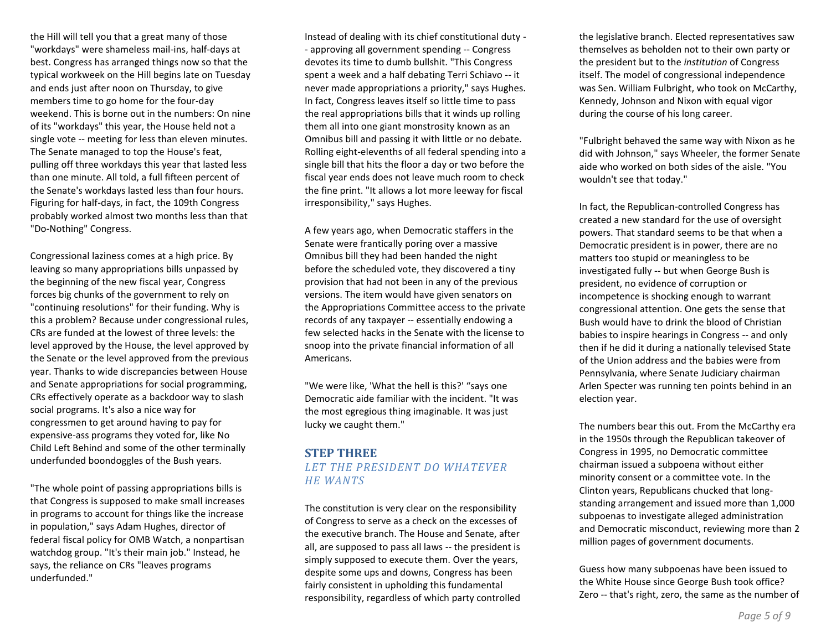the Hill will tell you that a great many of those "workdays" were shameless mail-ins, half-days at best. Congress has arranged things now so that the typical workweek on the Hill begins late on Tuesday and ends just after noon on Thursday, to give members time to go home for the four-day weekend. This is borne out in the numbers: On nine of its "workdays" this year, the House held not a single vote -- meeting for less than eleven minutes. The Senate managed to top the House's feat, pulling off three workdays this year that lasted less than one minute. All told, a full fifteen percent of the Senate's workdays lasted less than four hours. Figuring for half-days, in fact, the 109th Congress probably worked almost two months less than that "Do-Nothing" Congress.

Congressional laziness comes at a high price. By leaving so many appropriations bills unpassed by the beginning of the new fiscal year, Congress forces big chunks of the government to rely on "continuing resolutions" for their funding. Why is this a problem? Because under congressional rules, CRs are funded at the lowest of three levels: the level approved by the House, the level approved by the Senate or the level approved from the previous year. Thanks to wide discrepancies between House and Senate appropriations for social programming, CRs effectively operate as a backdoor way to slash social programs. It's also a nice way for congressmen to get around having to pay for expensive-ass programs they voted for, like No Child Left Behind and some of the other terminally underfunded boondoggles of the Bush years.

"The whole point of passing appropriations bills is that Congress is supposed to make small increases in programs to account for things like the increase in population," says Adam Hughes, director of federal fiscal policy for OMB Watch, a nonpartisan watchdog group. "It's their main job." Instead, he says, the reliance on CRs "leaves programs underfunded."

Instead of dealing with its chief constitutional duty - - approving all government spending -- Congress devotes its time to dumb bullshit. "This Congress spent a week and a half debating Terri Schiavo -- it never made appropriations a priority," says Hughes. In fact, Congress leaves itself so little time to pass the real appropriations bills that it winds up rolling them all into one giant monstrosity known as an Omnibus bill and passing it with little or no debate. Rolling eight-elevenths of all federal spending into a single bill that hits the floor a day or two before the fiscal year ends does not leave much room to check the fine print. "It allows a lot more leeway for fiscal irresponsibility," says Hughes.

A few years ago, when Democratic staffers in the Senate were frantically poring over a massive Omnibus bill they had been handed the night before the scheduled vote, they discovered a tiny provision that had not been in any of the previous versions. The item would have given senators on the Appropriations Committee access to the private records of any taxpayer -- essentially endowing a few selected hacks in the Senate with the license to snoop into the private financial information of all Americans.

"We were like, 'What the hell is this?' "says one Democratic aide familiar with the incident. "It was the most egregious thing imaginable. It was just lucky we caught them."

### **STEP THREE** *LET THE PRESIDENT DO WHATEVER HE WANTS*

The constitution is very clear on the responsibility of Congress to serve as a check on the excesses of the executive branch. The House and Senate, after all, are supposed to pass all laws -- the president is simply supposed to execute them. Over the years, despite some ups and downs, Congress has been fairly consistent in upholding this fundamental responsibility, regardless of which party controlled

the legislative branch. Elected representatives saw themselves as beholden not to their own party or the president but to the *institution* of Congress itself. The model of congressional independence was Sen. William Fulbright, who took on McCarthy, Kennedy, Johnson and Nixon with equal vigor during the course of his long career.

"Fulbright behaved the same way with Nixon as he did with Johnson," says Wheeler, the former Senate aide who worked on both sides of the aisle. "You wouldn't see that today."

In fact, the Republican-controlled Congress has created a new standard for the use of oversight powers. That standard seems to be that when a Democratic president is in power, there are no matters too stupid or meaningless to be investigated fully -- but when George Bush is president, no evidence of corruption or incompetence is shocking enough to warrant congressional attention. One gets the sense that Bush would have to drink the blood of Christian babies to inspire hearings in Congress -- and only then if he did it during a nationally televised State of the Union address and the babies were from Pennsylvania, where Senate Judiciary chairman Arlen Specter was running ten points behind in an election year.

The numbers bear this out. From the McCarthy era in the 1950s through the Republican takeover of Congress in 1995, no Democratic committee chairman issued a subpoena without either minority consent or a committee vote. In the Clinton years, Republicans chucked that longstanding arrangement and issued more than 1,000 subpoenas to investigate alleged administration and Democratic misconduct, reviewing more than 2 million pages of government documents.

Guess how many subpoenas have been issued to the White House since George Bush took office? Zero -- that's right, zero, the same as the number of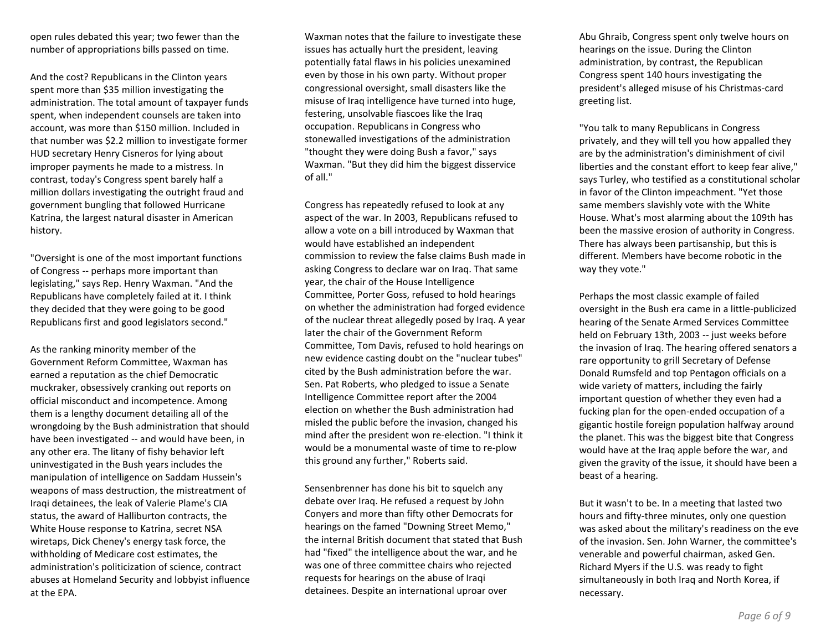open rules debated this year; two fewer than the number of appropriations bills passed on time.

And the cost? Republicans in the Clinton years spent more than \$35 million investigating the administration. The total amount of taxpayer funds spent, when independent counsels are taken into account, was more than \$150 million. Included in that number was \$2.2 million to investigate former HUD secretary Henry Cisneros for lying about improper payments he made to a mistress. In contrast, today's Congress spent barely half a million dollars investigating the outright fraud and government bungling that followed Hurricane Katrina, the largest natural disaster in American history.

"Oversight is one of the most important functions of Congress -- perhaps more important than legislating," says Rep. Henry Waxman. "And the Republicans have completely failed at it. I think they decided that they were going to be good Republicans first and good legislators second."

As the ranking minority member of the Government Reform Committee, Waxman has earned a reputation as the chief Democratic muckraker, obsessively cranking out reports on official misconduct and incompetence. Among them is a lengthy document detailing all of the wrongdoing by the Bush administration that should have been investigated -- and would have been, in any other era. The litany of fishy behavior left uninvestigated in the Bush years includes the manipulation of intelligence on Saddam Hussein's weapons of mass destruction, the mistreatment of Iraqi detainees, the leak of Valerie Plame's CIA status, the award of Halliburton contracts, the White House response to Katrina, secret NSA wiretaps, Dick Cheney's energy task force, the withholding of Medicare cost estimates, the administration's politicization of science, contract abuses at Homeland Security and lobbyist influence at the EPA.

Waxman notes that the failure to investigate these issues has actually hurt the president, leaving potentially fatal flaws in his policies unexamined even by those in his own party. Without proper congressional oversight, small disasters like the misuse of Iraq intelligence have turned into huge, festering, unsolvable fiascoes like the Iraq occupation. Republicans in Congress who stonewalled investigations of the administration "thought they were doing Bush a favor," says Waxman. "But they did him the biggest disservice of all."

Congress has repeatedly refused to look at any aspect of the war. In 2003, Republicans refused to allow a vote on a bill introduced by Waxman that would have established an independent commission to review the false claims Bush made in asking Congress to declare war on Iraq. That same year, the chair of the House Intelligence Committee, Porter Goss, refused to hold hearings on whether the administration had forged evidence of the nuclear threat allegedly posed by Iraq. A year later the chair of the Government Reform Committee, Tom Davis, refused to hold hearings on new evidence casting doubt on the "nuclear tubes" cited by the Bush administration before the war. Sen. Pat Roberts, who pledged to issue a Senate Intelligence Committee report after the 2004 election on whether the Bush administration had misled the public before the invasion, changed his mind after the president won re-election. "I think it would be a monumental waste of time to re-plow this ground any further," Roberts said.

Sensenbrenner has done his bit to squelch any debate over Iraq. He refused a request by John Conyers and more than fifty other Democrats for hearings on the famed "Downing Street Memo," the internal British document that stated that Bush had "fixed" the intelligence about the war, and he was one of three committee chairs who rejected requests for hearings on the abuse of Iraqi detainees. Despite an international uproar over

Abu Ghraib, Congress spent only twelve hours on hearings on the issue. During the Clinton administration, by contrast, the Republican Congress spent 140 hours investigating the president's alleged misuse of his Christmas-card greeting list.

"You talk to many Republicans in Congress privately, and they will tell you how appalled they are by the administration's diminishment of civil liberties and the constant effort to keep fear alive," says Turley, who testified as a constitutional scholar in favor of the Clinton impeachment. "Yet those same members slavishly vote with the White House. What's most alarming about the 109th has been the massive erosion of authority in Congress. There has always been partisanship, but this is different. Members have become robotic in the way they vote."

Perhaps the most classic example of failed oversight in the Bush era came in a little-publicized hearing of the Senate Armed Services Committee held on February 13th, 2003 -- just weeks before the invasion of Iraq. The hearing offered senators a rare opportunity to grill Secretary of Defense Donald Rumsfeld and top Pentagon officials on a wide variety of matters, including the fairly important question of whether they even had a fucking plan for the open-ended occupation of a gigantic hostile foreign population halfway around the planet. This was the biggest bite that Congress would have at the Iraq apple before the war, and given the gravity of the issue, it should have been a beast of a hearing.

But it wasn't to be. In a meeting that lasted two hours and fifty-three minutes, only one question was asked about the military's readiness on the eve of the invasion. Sen. John Warner, the committee's venerable and powerful chairman, asked Gen. Richard Myers if the U.S. was ready to fight simultaneously in both Iraq and North Korea, if necessary.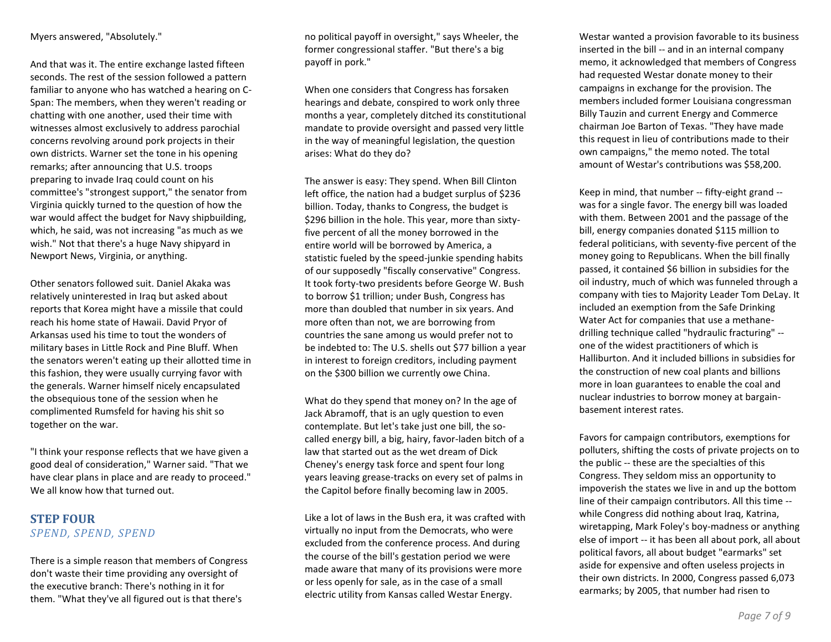#### Myers answered, "Absolutely."

And that was it. The entire exchange lasted fifteen seconds. The rest of the session followed a pattern familiar to anyone who has watched a hearing on C-Span: The members, when they weren't reading or chatting with one another, used their time with witnesses almost exclusively to address parochial concerns revolving around pork projects in their own districts. Warner set the tone in his opening remarks; after announcing that U.S. troops preparing to invade Iraq could count on his committee's "strongest support," the senator from Virginia quickly turned to the question of how the war would affect the budget for Navy shipbuilding, which, he said, was not increasing "as much as we wish." Not that there's a huge Navy shipyard in Newport News, Virginia, or anything.

Other senators followed suit. Daniel Akaka was relatively uninterested in Iraq but asked about reports that Korea might have a missile that could reach his home state of Hawaii. David Pryor of Arkansas used his time to tout the wonders of military bases in Little Rock and Pine Bluff. When the senators weren't eating up their allotted time in this fashion, they were usually currying favor with the generals. Warner himself nicely encapsulated the obsequious tone of the session when he complimented Rumsfeld for having his shit so together on the war.

"I think your response reflects that we have given a good deal of consideration," Warner said. "That we have clear plans in place and are ready to proceed." We all know how that turned out.

### **STEP FOUR**  *SPEND, SPEND, SPEND*

There is a simple reason that members of Congress don't waste their time providing any oversight of the executive branch: There's nothing in it for them. "What they've all figured out is that there's

no political payoff in oversight," says Wheeler, the former congressional staffer. "But there's a big payoff in pork."

When one considers that Congress has forsaken hearings and debate, conspired to work only three months a year, completely ditched its constitutional mandate to provide oversight and passed very little in the way of meaningful legislation, the question arises: What do they do?

The answer is easy: They spend. When Bill Clinton left office, the nation had a budget surplus of \$236 billion. Today, thanks to Congress, the budget is \$296 billion in the hole. This year, more than sixtyfive percent of all the money borrowed in the entire world will be borrowed by America, a statistic fueled by the speed-junkie spending habits of our supposedly "fiscally conservative" Congress. It took forty-two presidents before George W. Bush to borrow \$1 trillion; under Bush, Congress has more than doubled that number in six years. And more often than not, we are borrowing from countries the sane among us would prefer not to be indebted to: The U.S. shells out \$77 billion a year in interest to foreign creditors, including payment on the \$300 billion we currently owe China.

What do they spend that money on? In the age of Jack Abramoff, that is an ugly question to even contemplate. But let's take just one bill, the socalled energy bill, a big, hairy, favor-laden bitch of a law that started out as the wet dream of Dick Cheney's energy task force and spent four long years leaving grease-tracks on every set of palms in the Capitol before finally becoming law in 2005.

Like a lot of laws in the Bush era, it was crafted with virtually no input from the Democrats, who were excluded from the conference process. And during the course of the bill's gestation period we were made aware that many of its provisions were more or less openly for sale, as in the case of a small electric utility from Kansas called Westar Energy.

Westar wanted a provision favorable to its business inserted in the bill -- and in an internal company memo, it acknowledged that members of Congress had requested Westar donate money to their campaigns in exchange for the provision. The members included former Louisiana congressman Billy Tauzin and current Energy and Commerce chairman Joe Barton of Texas. "They have made this request in lieu of contributions made to their own campaigns," the memo noted. The total amount of Westar's contributions was \$58,200.

Keep in mind, that number -- fifty-eight grand - was for a single favor. The energy bill was loaded with them. Between 2001 and the passage of the bill, energy companies donated \$115 million to federal politicians, with seventy-five percent of the money going to Republicans. When the bill finally passed, it contained \$6 billion in subsidies for the oil industry, much of which was funneled through a company with ties to Majority Leader Tom DeLay. It included an exemption from the Safe Drinking Water Act for companies that use a methanedrilling technique called "hydraulic fracturing" - one of the widest practitioners of which is Halliburton. And it included billions in subsidies for the construction of new coal plants and billions more in loan guarantees to enable the coal and nuclear industries to borrow money at bargainbasement interest rates.

Favors for campaign contributors, exemptions for polluters, shifting the costs of private projects on to the public -- these are the specialties of this Congress. They seldom miss an opportunity to impoverish the states we live in and up the bottom line of their campaign contributors. All this time - while Congress did nothing about Iraq, Katrina, wiretapping, Mark Foley's boy-madness or anything else of import -- it has been all about pork, all about political favors, all about budget "earmarks" set aside for expensive and often useless projects in their own districts. In 2000, Congress passed 6,073 earmarks; by 2005, that number had risen to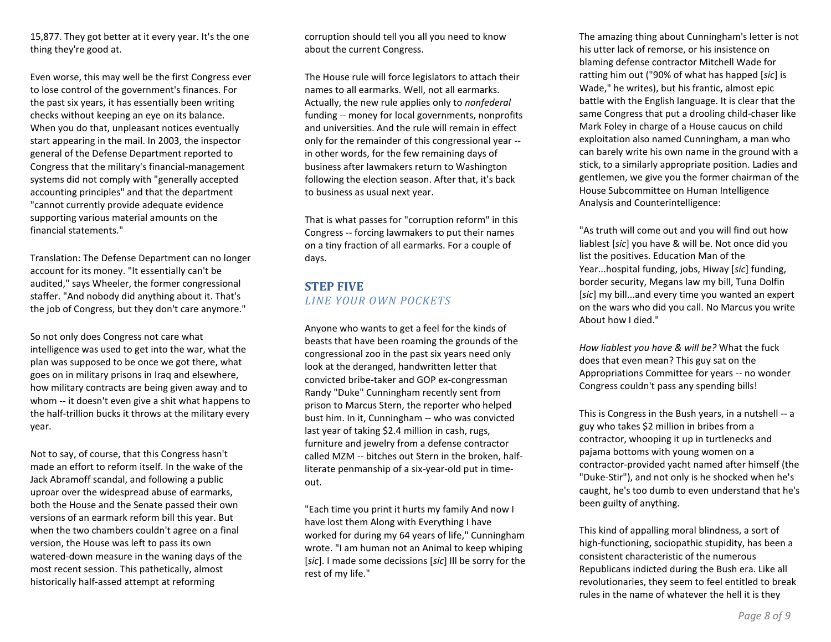15,877. They got better at it every year. It's the one thing they're good at.

Even worse, this may well be the first Congress ever to lose control of the government's finances. For the past six years, it has essentially been writing checks without keeping an eye on its balance. When you do that, unpleasant notices eventually start appearing in the mail. In 2003, the inspector general of the Defense Department reported to Congress that the military's financial-management systems did not comply with "generally accepted accounting principles" and that the department "cannot currently provide adequate evidence supporting various material amounts on the financial statements."

Translation: The Defense Department can no longer account for its money. "It essentially can't be audited," says Wheeler, the former congressional staffer. "And nobody did anything about it. That's the job of Congress, but they don't care anymore."

So not only does Congress not care what intelligence was used to get into the war, what the plan was supposed to be once we got there, what goes on in military prisons in Iraq and elsewhere, how military contracts are being given away and to whom -- it doesn't even give a shit what happens to the half-trillion bucks it throws at the military every year.

Not to say, of course, that this Congress hasn't made an effort to reform itself. In the wake of the Jack Abramoff scandal, and following a public uproar over the widespread abuse of earmarks, both the House and the Senate passed their own versions of an earmark reform bill this year. But when the two chambers couldn't agree on a final version, the House was left to pass its own watered-down measure in the waning days of the most recent session. This pathetically, almost historically half-assed attempt at reforming

corruption should tell you all you need to know about the current Congress.

The House rule will force legislators to attach their names to all earmarks. Well, not all earmarks. Actually, the new rule applies only to *nonfederal* funding -- money for local governments, nonprofits and universities. And the rule will remain in effect only for the remainder of this congressional year - in other words, for the few remaining days of business after lawmakers return to Washington following the election season. After that, it's back to business as usual next year.

That is what passes for "corruption reform" in this Congress -- forcing lawmakers to put their names on a tiny fraction of all earmarks. For a couple of days.

## **STEP FIVE** *LINE YOUR OWN POCKETS*

Anyone who wants to get a feel for the kinds of beasts that have been roaming the grounds of the congressional zoo in the past six years need only look at the deranged, handwritten letter that convicted bribe-taker and GOP ex-congressman Randy "Duke" Cunningham recently sent from prison to Marcus Stern, the reporter who helped bust him. In it, Cunningham -- who was convicted last year of taking \$2.4 million in cash, rugs, furniture and jewelry from a defense contractor called MZM -- bitches out Stern in the broken, halfliterate penmanship of a six-year-old put in timeout.

"Each time you print it hurts my family And now I have lost them Along with Everything I have worked for during my 64 years of life," Cunningham wrote. "I am human not an Animal to keep whiping [*sic*]. I made some decissions [*sic*] Ill be sorry for the rest of my life."

The amazing thing about Cunningham's letter is not his utter lack of remorse, or his insistence on blaming defense contractor Mitchell Wade for ratting him out ("90% of what has happed [*sic*] is Wade," he writes), but his frantic, almost epic battle with the English language. It is clear that the same Congress that put a drooling child-chaser like Mark Foley in charge of a House caucus on child exploitation also named Cunningham, a man who can barely write his own name in the ground with a stick, to a similarly appropriate position. Ladies and gentlemen, we give you the former chairman of the House Subcommittee on Human Intelligence Analysis and Counterintelligence:

"As truth will come out and you will find out how liablest [*sic*] you have & will be. Not once did you list the positives. Education Man of the Year...hospital funding, jobs, Hiway [*sic*] funding, border security, Megans law my bill, Tuna Dolfin [*sic*] my bill...and every time you wanted an expert on the wars who did you call. No Marcus you write About how I died."

*How liablest you have & will be?* What the fuck does that even mean? This guy sat on the Appropriations Committee for years -- no wonder Congress couldn't pass any spending bills!

This is Congress in the Bush years, in a nutshell -- a guy who takes \$2 million in bribes from a contractor, whooping it up in turtlenecks and pajama bottoms with young women on a contractor-provided yacht named after himself (the "Duke-Stir"), and not only is he shocked when he's caught, he's too dumb to even understand that he's been guilty of anything.

This kind of appalling moral blindness, a sort of high-functioning, sociopathic stupidity, has been a consistent characteristic of the numerous Republicans indicted during the Bush era. Like all revolutionaries, they seem to feel entitled to break rules in the name of whatever the hell it is they